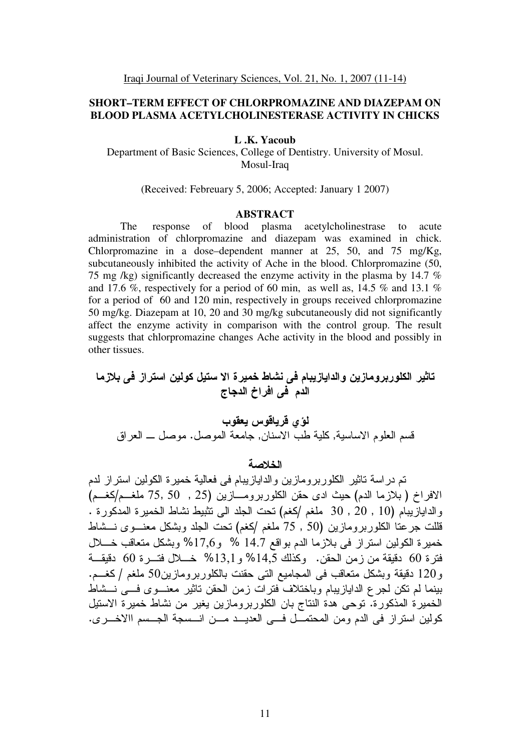# **SHORT–TERM EFFECT OF CHLORPROMAZINE AND DIAZEPAM ON BLOOD PLASMA ACETYLCHOLINESTERASE ACTIVITY IN CHICKS**

### **L .K. Yacoub**

Department of Basic Sciences, College of Dentistry. University of Mosul. Mosul-Iraq

## (Received: Febreuary 5, 2006; Accepted: January 1 2007)

### **ABSTRACT**

The response of blood plasma acetylcholinestrase to acute administration of chlorpromazine and diazepam was examined in chick. Chlorpromazine in a dose–dependent manner at 25, 50, and 75 mg/Kg, subcutaneously inhibited the activity of Ache in the blood. Chlorpromazine (50, 75 mg /kg) significantly decreased the enzyme activity in the plasma by 14.7 % and 17.6 %, respectively for a period of 60 min, as well as, 14.5 % and 13.1 % for a period of 60 and 120 min, respectively in groups received chlorpromazine 50 mg/kg. Diazepam at 10, 20 and 30 mg/kg subcutaneously did not significantly affect the enzyme activity in comparison with the control group. The result suggests that chlorpromazine changes Ache activity in the blood and possibly in other tissues.

# تاثير الكلوربرومازين والدايازيبام في نشاط خميرة الا ستيل كولين استراز في بلازما الدم في افراخ الدجاج

 " #\$ % && !  .  - , - , - 

### الخلاصة

تم در اسة تاثير الكلوربرومازين والدايازيبام في فعالية خميرة الكولين استراز لدم الافراخ (بلازما الدم) حيث ادى حقن الكلوربرومـــازين (25 , 50 ,5 ملغـــم/كغـــم) والدايازيبام (10 , 20 , 30 ملغم /كغم) نَحتَ الْجلد الى تثبيط نشاط الخميرة المدكورة . قللت جرعنا الكلوربرومازين (50 , 75 ملغم /كغم) نحت الجلد وبشكل معنـــوى نـــشاط خمير ة الكولين استر از في بلاز ما الدم بو اقع 14.7 % و 17,6% وبشكل متعاقب خـــلال فترة 60 دقيقة من زمن الحقن. وكذلك 14,5% و 13,1% خــــلال فتــــرة 60 دقيقـــة و120 دقيقة وبشكل منعاقب في المجاميع التي حقنت بالكلوربرومازين50 ملغم /كغـــم. بينما لم نكن لجر ع الدايازيبام وباختلاف ّفترات زمن الحقن ناثير معنـــوى فــــه نـــشاط الخميرة المذكورة. نوحي هدة النتاج بان الكلوربرومازين يغير من نشاط خميرة الاستيل كولين استراز في الدم ومن المحتمــل فـــي العديـــد مـــن انـــسجة الجـــسم االاخــــرى.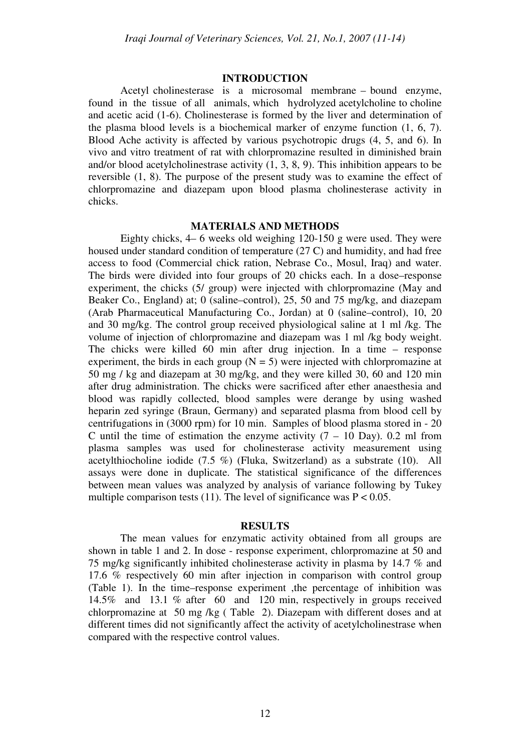## **INTRODUCTION**

Acetyl cholinesterase is a microsomal membrane – bound enzyme, found in the tissue of all animals, which hydrolyzed acetylcholine to choline and acetic acid (1-6). Cholinesterase is formed by the liver and determination of the plasma blood levels is a biochemical marker of enzyme function (1, 6, 7). Blood Ache activity is affected by various psychotropic drugs (4, 5, and 6). In vivo and vitro treatment of rat with chlorpromazine resulted in diminished brain and/or blood acetylcholinestrase activity  $(1, 3, 8, 9)$ . This inhibition appears to be reversible (1, 8). The purpose of the present study was to examine the effect of chlorpromazine and diazepam upon blood plasma cholinesterase activity in chicks.

## **MATERIALS AND METHODS**

Eighty chicks, 4– 6 weeks old weighing 120-150 g were used. They were housed under standard condition of temperature (27 C) and humidity, and had free access to food (Commercial chick ration, Nebrase Co., Mosul, Iraq) and water. The birds were divided into four groups of 20 chicks each. In a dose–response experiment, the chicks (5/ group) were injected with chlorpromazine (May and Beaker Co., England) at; 0 (saline–control), 25, 50 and 75 mg/kg, and diazepam (Arab Pharmaceutical Manufacturing Co., Jordan) at 0 (saline–control), 10, 20 and 30 mg/kg. The control group received physiological saline at 1 ml /kg. The volume of injection of chlorpromazine and diazepam was 1 ml /kg body weight. The chicks were killed 60 min after drug injection. In a time – response experiment, the birds in each group  $(N = 5)$  were injected with chlorpromazine at 50 mg / kg and diazepam at 30 mg/kg, and they were killed 30, 60 and 120 min after drug administration. The chicks were sacrificed after ether anaesthesia and blood was rapidly collected, blood samples were derange by using washed heparin zed syringe (Braun, Germany) and separated plasma from blood cell by centrifugations in (3000 rpm) for 10 min. Samples of blood plasma stored in - 20 C until the time of estimation the enzyme activity  $(7 - 10)$  Day). 0.2 ml from plasma samples was used for cholinesterase activity measurement using acetylthiocholine iodide (7.5 %) (Fluka, Switzerland) as a substrate (10). All assays were done in duplicate. The statistical significance of the differences between mean values was analyzed by analysis of variance following by Tukey multiple comparison tests (11). The level of significance was  $P < 0.05$ .

#### **RESULTS**

The mean values for enzymatic activity obtained from all groups are shown in table 1 and 2. In dose - response experiment, chlorpromazine at 50 and 75 mg/kg significantly inhibited cholinesterase activity in plasma by 14.7 % and 17.6 % respectively 60 min after injection in comparison with control group (Table 1). In the time–response experiment ,the percentage of inhibition was 14.5% and 13.1 % after 60 and 120 min, respectively in groups received chlorpromazine at 50 mg /kg ( Table 2). Diazepam with different doses and at different times did not significantly affect the activity of acetylcholinestrase when compared with the respective control values.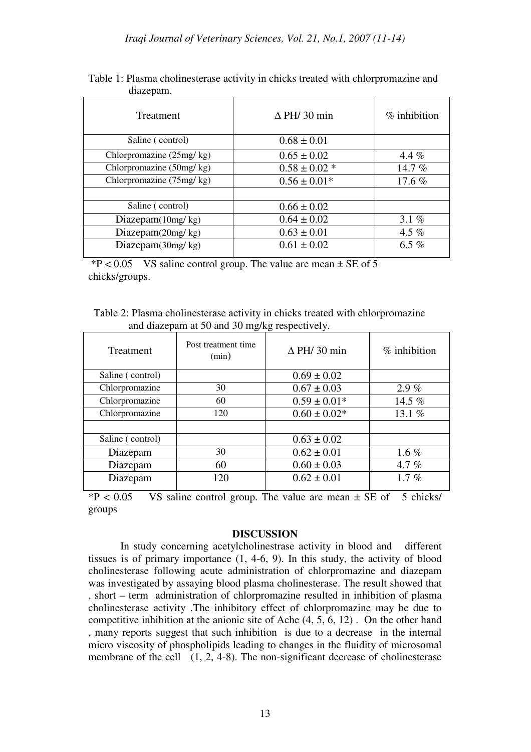| Treatment                | $\Delta$ PH/ 30 min | $%$ inhibition |
|--------------------------|---------------------|----------------|
| Saline (control)         | $0.68 \pm 0.01$     |                |
| Chlorpromazine (25mg/kg) | $0.65 \pm 0.02$     | 4.4 $%$        |
| Chlorpromazine (50mg/kg) | $0.58 \pm 0.02$ *   | 14.7%          |
| Chlorpromazine (75mg/kg) | $0.56 \pm 0.01*$    | 17.6 $%$       |
|                          |                     |                |
| Saline (control)         | $0.66 \pm 0.02$     |                |
| Diazepam $(10mg/kg)$     | $0.64 \pm 0.02$     | 3.1 $%$        |
| Diazepam $(20mg/kg)$     | $0.63 \pm 0.01$     | 4.5 $%$        |
| Diazepam(30mg/kg)        | $0.61 \pm 0.02$     | 6.5 $%$        |
|                          |                     |                |

Table 1: Plasma cholinesterase activity in chicks treated with chlorpromazine and diazepam.

 $*P < 0.05$  VS saline control group. The value are mean  $\pm$  SE of 5 chicks/groups.

Table 2: Plasma cholinesterase activity in chicks treated with chlorpromazine and diazepam at 50 and 30 mg/kg respectively.

| Treatment        | Post treatment time<br>(min) | $\Delta$ PH/ 30 min | $%$ inhibition |
|------------------|------------------------------|---------------------|----------------|
| Saline (control) |                              | $0.69 \pm 0.02$     |                |
| Chlorpromazine   | 30                           | $0.67 \pm 0.03$     | 2.9%           |
| Chlorpromazine   | 60                           | $0.59 \pm 0.01*$    | 14.5 %         |
| Chlorpromazine   | 120                          | $0.60 \pm 0.02*$    | 13.1 %         |
|                  |                              |                     |                |
| Saline (control) |                              | $0.63 \pm 0.02$     |                |
| Diazepam         | 30                           | $0.62 \pm 0.01$     | 1.6 $%$        |
| Diazepam         | 60                           | $0.60 \pm 0.03$     | 4.7 $%$        |
| Diazepam         | 120                          | $0.62 \pm 0.01$     | 1.7%           |
|                  |                              |                     |                |

 $*P < 0.05$  VS saline control group. The value are mean  $\pm$  SE of 5 chicks/ groups

# **DISCUSSION**

In study concerning acetylcholinestrase activity in blood and different tissues is of primary importance (1, 4-6, 9). In this study, the activity of blood cholinesterase following acute administration of chlorpromazine and diazepam was investigated by assaying blood plasma cholinesterase. The result showed that , short – term administration of chlorpromazine resulted in inhibition of plasma cholinesterase activity .The inhibitory effect of chlorpromazine may be due to competitive inhibition at the anionic site of Ache (4, 5, 6, 12) . On the other hand , many reports suggest that such inhibition is due to a decrease in the internal micro viscosity of phospholipids leading to changes in the fluidity of microsomal membrane of the cell (1, 2, 4-8). The non-significant decrease of cholinesterase